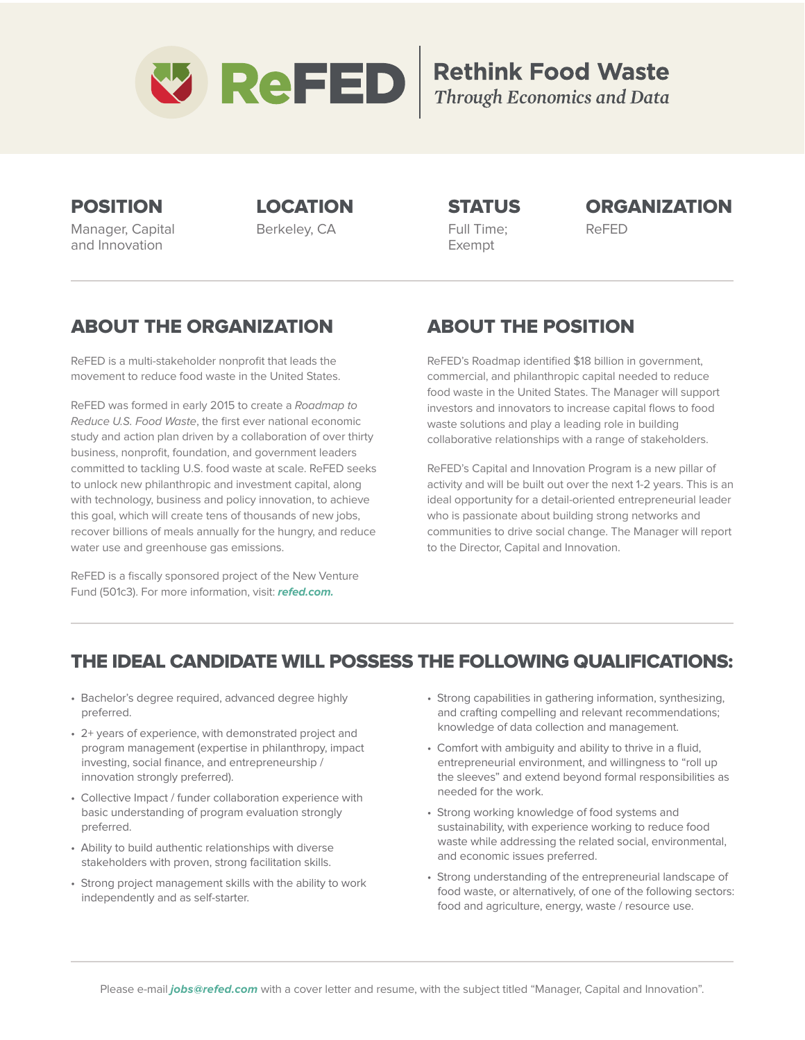

# **Rethink Food Waste**<br>Through Economics and Data

Manager, Capital and Innovation

Berkeley, CA Full Time; ReFED Exempt

## POSITION LOCATION STATUS ORGANIZATION

## ABOUT THE ORGANIZATION

ReFED is a multi-stakeholder nonprofit that leads the movement to reduce food waste in the United States.

ReFED was formed in early 2015 to create a Roadmap to Reduce U.S. Food Waste, the first ever national economic study and action plan driven by a collaboration of over thirty business, nonprofit, foundation, and government leaders committed to tackling U.S. food waste at scale. ReFED seeks to unlock new philanthropic and investment capital, along with technology, business and policy innovation, to achieve this goal, which will create tens of thousands of new jobs, recover billions of meals annually for the hungry, and reduce water use and greenhouse gas emissions.

ReFED is a fiscally sponsored project of the New Venture Fund (501c3). For more information, visit: **refed.com.**

# ABOUT THE POSITION

ReFED's Roadmap identified \$18 billion in government, commercial, and philanthropic capital needed to reduce food waste in the United States. The Manager will support investors and innovators to increase capital flows to food waste solutions and play a leading role in building collaborative relationships with a range of stakeholders.

ReFED's Capital and Innovation Program is a new pillar of activity and will be built out over the next 1-2 years. This is an ideal opportunity for a detail-oriented entrepreneurial leader who is passionate about building strong networks and communities to drive social change. The Manager will report to the Director, Capital and Innovation.

## THE IDEAL CANDIDATE WILL POSSESS THE FOLLOWING QUALIFICATIONS:

- Bachelor's degree required, advanced degree highly preferred.
- 2+ years of experience, with demonstrated project and program management (expertise in philanthropy, impact investing, social finance, and entrepreneurship / innovation strongly preferred).
- Collective Impact / funder collaboration experience with basic understanding of program evaluation strongly preferred.
- Ability to build authentic relationships with diverse stakeholders with proven, strong facilitation skills.
- Strong project management skills with the ability to work independently and as self-starter.
- Strong capabilities in gathering information, synthesizing, and crafting compelling and relevant recommendations; knowledge of data collection and management.
- Comfort with ambiguity and ability to thrive in a fluid, entrepreneurial environment, and willingness to "roll up the sleeves" and extend beyond formal responsibilities as needed for the work.
- Strong working knowledge of food systems and sustainability, with experience working to reduce food waste while addressing the related social, environmental, and economic issues preferred.
- Strong understanding of the entrepreneurial landscape of food waste, or alternatively, of one of the following sectors: food and agriculture, energy, waste / resource use.